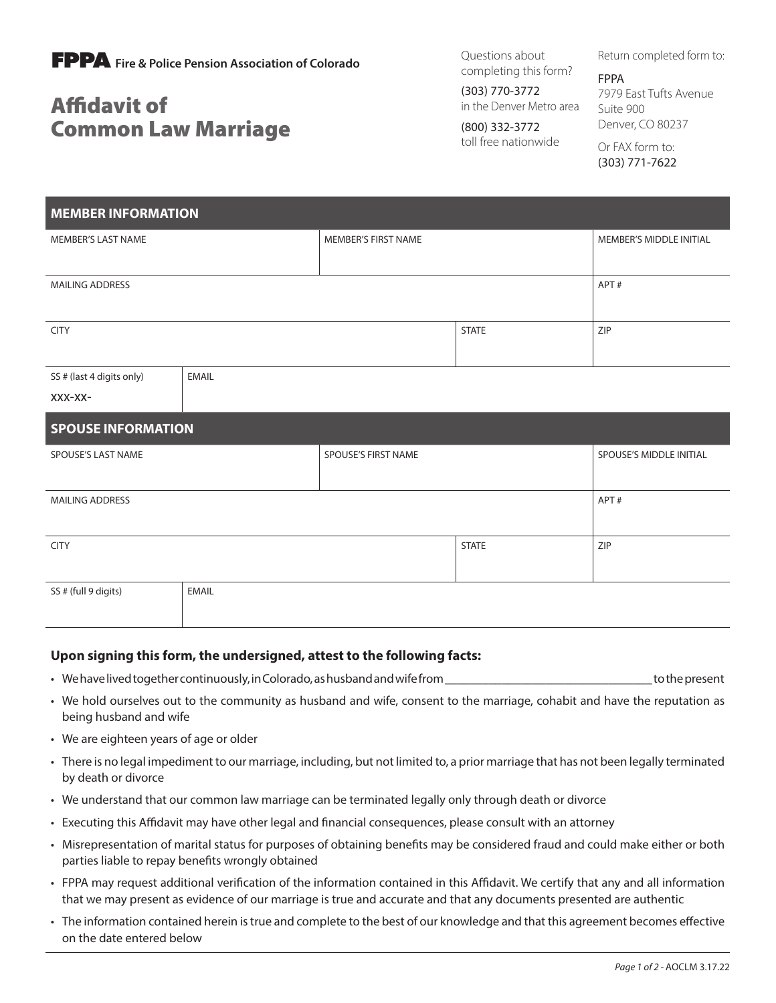

## Affidavit of Common Law Marriage

Questions about completing this form?

(303) 770-3772 in the Denver Metro area

(800) 332-3772 toll free nationwide Return completed form to:

FPPA 7979 East Tufts Avenue Suite 900 Denver, CO 80237

Or FAX form to: (303) 771-7622

| <b>MEMBER INFORMATION</b> |              |                     |              |                         |  |
|---------------------------|--------------|---------------------|--------------|-------------------------|--|
| MEMBER'S LAST NAME        |              | MEMBER'S FIRST NAME |              | MEMBER'S MIDDLE INITIAL |  |
|                           |              |                     |              |                         |  |
| <b>MAILING ADDRESS</b>    | APT#         |                     |              |                         |  |
|                           |              |                     |              |                         |  |
| <b>CITY</b>               |              |                     | <b>STATE</b> | ZIP                     |  |
|                           |              |                     |              |                         |  |
| SS # (last 4 digits only) | <b>EMAIL</b> |                     |              |                         |  |
| XXX-XX-                   |              |                     |              |                         |  |
| <b>SPOUSE INFORMATION</b> |              |                     |              |                         |  |
| SPOUSE'S LAST NAME        |              | SPOUSE'S FIRST NAME |              |                         |  |
|                           |              |                     |              | SPOUSE'S MIDDLE INITIAL |  |
|                           |              |                     |              |                         |  |
| <b>MAILING ADDRESS</b>    |              |                     |              | APT#                    |  |
|                           |              |                     |              |                         |  |
| <b>CITY</b>               |              |                     | <b>STATE</b> | ZIP                     |  |
|                           |              |                     |              |                         |  |
| SS # (full 9 digits)      | <b>EMAIL</b> |                     |              |                         |  |

## **Upon signing this form, the undersigned, attest to the following facts:**

- We have lived together continuously, in Colorado, as husband and wife from \_\_\_\_\_\_\_\_\_\_\_\_\_\_\_\_\_\_\_\_\_\_\_\_\_\_\_\_\_\_\_\_\_ to the present
- We hold ourselves out to the community as husband and wife, consent to the marriage, cohabit and have the reputation as being husband and wife
- We are eighteen years of age or older
- There is no legal impediment to our marriage, including, but not limited to, a prior marriage that has not been legally terminated by death or divorce
- We understand that our common law marriage can be terminated legally only through death or divorce
- Executing this Affidavit may have other legal and financial consequences, please consult with an attorney
- Misrepresentation of marital status for purposes of obtaining benefits may be considered fraud and could make either or both parties liable to repay benefits wrongly obtained
- FPPA may request additional verification of the information contained in this Affidavit. We certify that any and all information that we may present as evidence of our marriage is true and accurate and that any documents presented are authentic
- The information contained herein is true and complete to the best of our knowledge and that this agreement becomes effective on the date entered below